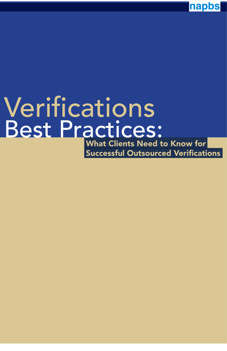napbs

# What Clients Need to Know for Successful Outsourced Verifications Verifications Best Practices: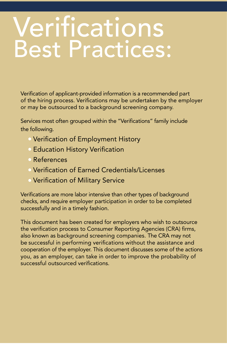# Verifications Best Practices:

Verification of applicant-provided information is a recommended part of the hiring process. Verifications may be undertaken by the employer or may be outsourced to a background screening company.

Services most often grouped within the "Verifications" family include the following.

- Verification of Employment History
- Education History Verification
- References
- Verification of Earned Credentials/Licenses
- Verification of Military Service

Verifications are more labor intensive than other types of background checks, and require employer participation in order to be completed successfully and in a timely fashion.

This document has been created for employers who wish to outsource the verification process to Consumer Reporting Agencies (CRA) firms, also known as background screening companies. The CRA may not be successful in performing verifications without the assistance and cooperation of the employer. This document discusses some of the actions you, as an employer, can take in order to improve the probability of successful outsourced verifications.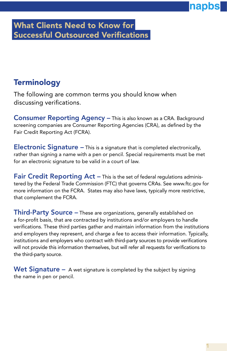#### What Clients Need to Know for Successful Outsourced Verifications

#### **Terminology**

The following are common terms you should know when discussing verifications.

Consumer Reporting Agency – This is also known as a CRA. Background screening companies are Consumer Reporting Agencies (CRA), as defined by the Fair Credit Reporting Act (FCRA).

Electronic Signature – This is a signature that is completed electronically, rather than signing a name with a pen or pencil. Special requirements must be met for an electronic signature to be valid in a court of law.

Fair Credit Reporting Act – This is the set of federal regulations administered by the Federal Trade Commission (FTC) that governs CRAs. See www.ftc.gov for more information on the FCRA. States may also have laws, typically more restrictive, that complement the FCRA.

Third-Party Source - These are organizations, generally established on a for-profit basis, that are contracted by institutions and/or employers to handle verifications. These third parties gather and maintain information from the institutions and employers they represent, and charge a fee to access their information. Typically, institutions and employers who contract with third-party sources to provide verifications will not provide this information themselves, but will refer all requests for verifications to the third-party source.

Wet Signature  $-$  A wet signature is completed by the subject by signing the name in pen or pencil.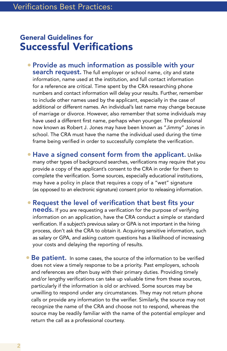#### General Guidelines for Successful Verifications

- Provide as much information as possible with your **search request.** The full employer or school name, city and state information, name used at the institution, and full contact information for a reference are critical. Time spent by the CRA researching phone numbers and contact information will delay your results. Further, remember to include other names used by the applicant, especially in the case of additional or different names. An individual's last name may change because of marriage or divorce. However, also remember that some individuals may have used a different first name, perhaps when younger. The professional now known as Robert J. Jones may have been known as "Jimmy" Jones in school. The CRA must have the name the individual used during the time frame being verified in order to successfully complete the verification.
- Have a signed consent form from the applicant. Unlike many other types of background searches, verifications may require that you provide a copy of the applicant's consent to the CRA in order for them to complete the verification. Some sources, especially educational institutions, may have a policy in place that requires a copy of a "wet" signature (as opposed to an electronic signature) consent prior to releasing information.
- Request the level of verification that best fits your **needs.** If you are requesting a verification for the purpose of verifying information on an application, have the CRA conduct a simple or standard verification. If a subject's previous salary or GPA is not important in the hiring process, don't ask the CRA to obtain it. Acquiring sensitive information, such as salary or GPA, and asking custom questions has a likelihood of increasing your costs and delaying the reporting of results.
- $\bullet$  Be patient. In some cases, the source of the information to be verified does not view a timely response to be a priority. Past employers, schools and references are often busy with their primary duties. Providing timely and/or lengthy verifications can take up valuable time from these sources, particularly if the information is old or archived. Some sources may be unwilling to respond under any circumstances. They may not return phone calls or provide any information to the verifier. Similarly, the source may not recognize the name of the CRA and choose not to respond, whereas the source may be readily familiar with the name of the potential employer and return the call as a professional courtesy.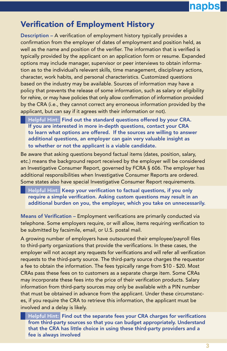## napbs

#### Verification of Employment History

Description – A verification of employment history typically provides a confirmation from the employer of dates of employment and position held, as well as the name and position of the verifier. The information that is verified is typically provided by the applicant on an application form or resume. Expanded options may include manager, supervisor or peer interviews to obtain information as to the individual's relevant skills, time management, disciplinary actions, character, work habits, and personal characteristics. Customized questions based on the industry may be available. Sources of information may have a policy that prevents the release of some information, such as salary or eligibility for rehire, or may have policies that only allow confirmation of information provided by the CRA (i.e., they cannot correct any erroneous information provided by the applicant, but can say if it agrees with their information or not).

 Helpful Hint: Find out the standard questions offered by your CRA. If you are interested in more in-depth questions, contact your CRA to learn what options are offered. If the sources are willing to answer additional questions, an employer can gain very valuable insight as to whether or not the applicant is a viable candidate.

Be aware that asking questions beyond factual items (dates, position, salary, etc.) means the background report received by the employer will be considered an Investigative Consumer Report, governed by FCRA § 606. The employer has additional responsibilities when Investigative Consumer Reports are ordered. Some states also have special Investigative Consumer Report requirements.

 Helpful Hint: Keep your verification to factual questions, if you only require a simple verification. Asking custom questions may result in an additional burden on you, the employer, which you take on unnecessarily.

Means of Verification – Employment verifications are primarily conducted via telephone. Some employers require, or will allow, items requiring verification to be submitted by facsimile, email, or U.S. postal mail.

A growing number of employers have outsourced their employee/payroll files to third-party organizations that provide the verifications. In these cases, the employer will not accept any requests for verifications and will refer all verification requests to the third-party source. The third-party source charges the requestor a fee to obtain the information. The fees typically range from \$10 - \$20. Most CRAs pass these fees on to customers as a separate charge item. Some CRAs may incorporate these fees into the price of their verification products. Salary information from third-party sources may only be available with a PIN number that must be obtained in advance from the applicant. Under these circumstances, if you require the CRA to retrieve this information, the applicant must be involved and a delay is likely.

 Helpful Hint: Find out the separate fees your CRA charges for verifications from third-party sources so that you can budget appropriately. Understand that the CRA has little choice in using these third-party providers and a fee is always involved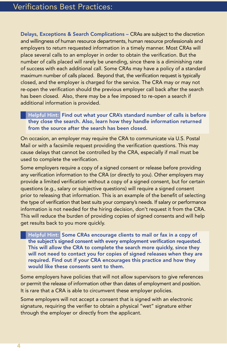Delays, Exceptions & Search Complications – CRAs are subject to the discretion and willingness of human resource departments, human resource professionals and employers to return requested information in a timely manner. Most CRAs will place several calls to an employer in order to obtain the verification. But the number of calls placed will rarely be unending, since there is a diminishing rate of success with each additional call. Some CRAs may have a policy of a standard maximum number of calls placed. Beyond that, the verification request is typically closed, and the employer is charged for the service. The CRA may or may not re-open the verification should the previous employer call back after the search has been closed. Also, there may be a fee imposed to re-open a search if additional information is provided.

 Helpful Hint: Find out what your CRA's standard number of calls is before they close the search. Also, learn how they handle information returned from the source after the search has been closed.

On occasion, an employer may require the CRA to communicate via U.S. Postal Mail or with a facsimile request providing the verification questions. This may cause delays that cannot be controlled by the CRA, especially if mail must be used to complete the verification.

Some employers require a copy of a signed consent or release before providing any verification information to the CRA (or directly to you). Other employers may provide a limited verification without a copy of a signed consent, but for certain questions (e.g., salary or subjective questions) will require a signed consent prior to releasing that information. This is an example of the benefit of selecting the type of verification that best suits your company's needs. If salary or performance information is not needed for the hiring decision, don't request it from the CRA. This will reduce the burden of providing copies of signed consents and will help get results back to you more quickly.

 Helpful Hint: Some CRAs encourage clients to mail or fax in a copy of the subject's signed consent with every employment verification requested. This will allow the CRA to complete the search more quickly, since they will not need to contact you for copies of signed releases when they are required. Find out if your CRA encourages this practice and how they would like these consents sent to them.

Some employers have policies that will not allow supervisors to give references or permit the release of information other than dates of employment and position. It is rare that a CRA is able to circumvent these employer policies.

Some employers will not accept a consent that is signed with an electronic signature, requiring the verifier to obtain a physical "wet" signature either through the employer or directly from the applicant.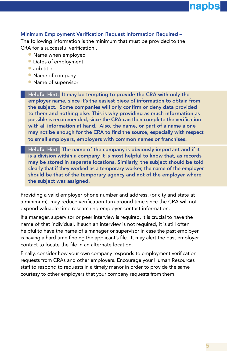## napp

#### Minimum Employment Verification Request Information Required –

The following information is the minimum that must be provided to the CRA for a successful verification:.

- Name when employed
- Dates of employment
- Job title
- Name of company
- Name of supervisor

 Helpful Hint: It may be tempting to provide the CRA with only the employer name, since it's the easiest piece of information to obtain from the subject. Some companies will only confirm or deny data provided to them and nothing else. This is why providing as much information as possible is recommended, since the CRA can then complete the verification with all information at hand. Also, the name, or part of a name alone may not be enough for the CRA to find the source, especially with respect to small employers, employers with common names or franchises.

 Helpful Hint: The name of the company is obviously important and if it is a division within a company it is most helpful to know that, as records may be stored in separate locations. Similarly, the subject should be told clearly that if they worked as a temporary worker, the name of the employer should be that of the temporary agency and not of the employer where the subject was assigned.

Providing a valid employer phone number and address, (or city and state at a minimum), may reduce verification turn-around time since the CRA will not expend valuable time researching employer contact information.

If a manager, supervisor or peer interview is required, it is crucial to have the name of that individual. If such an interview is not required, it is still often helpful to have the name of a manager or supervisor in case the past employer is having a hard time finding the applicant's file. It may alert the past employer contact to locate the file in an alternate location.

Finally, consider how your own company responds to employment verification requests from CRAs and other employers. Encourage your Human Resources staff to respond to requests in a timely manor in order to provide the same courtesy to other employers that your company requests from them.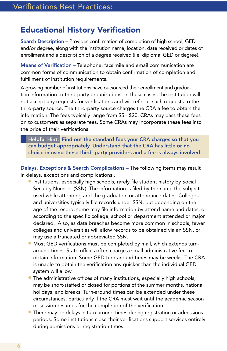#### Educational History Verification

Search Description – Provides confirmation of completion of high school, GED and/or degree, along with the institution name, location, date received or dates of enrollment and a description of a degree received (i.e. diploma, GED or degree).

Means of Verification – Telephone, facsimile and email communication are common forms of communication to obtain confirmation of completion and fulfillment of institution requirements.

A growing number of institutions have outsourced their enrollment and graduation information to third-party organizations. In these cases, the institution will not accept any requests for verifications and will refer all such requests to the third-party source. The third-party source charges the CRA a fee to obtain the information. The fees typically range from \$5 - \$20. CRAs may pass these fees on to customers as separate fees. Some CRAs may incorporate these fees into the price of their verifications.

 Helpful Hint: Find out the standard fees your CRA charges so that you can budget appropriately. Understand that the CRA has little or no choice in using these third- party providers and a fee is always involved.

Delays, Exceptions & Search Complications – The following items may result in delays, exceptions and complications:.

- Institutions, especially high schools, rarely file student history by Social Security Number (SSN). The information is filed by the name the subject used while attending and the graduation or attendance dates. Colleges and universities typically file records under SSN, but depending on the age of the record, some may file information by attend name and dates, or according to the specific college, school or department attended or major declared. Also, as data breaches become more common in schools, fewer colleges and universities will allow records to be obtained via an SSN, or may use a truncated or abbreviated SSN.
- Most GED verifications must be completed by mail, which extends turnaround times. State offices often charge a small administrative fee to obtain information. Some GED turn-around times may be weeks. The CRA is unable to obtain the verification any quicker than the individual GED system will allow.
- **•** The administrative offices of many institutions, especially high schools, may be short-staffed or closed for portions of the summer months, national holidays, and breaks. Turn-around times can be extended under these circumstances, particularly if the CRA must wait until the academic season or session resumes for the completion of the verification.
- **•** There may be delays in turn-around times during registration or admissions periods. Some institutions close their verifications support services entirely during admissions or registration times.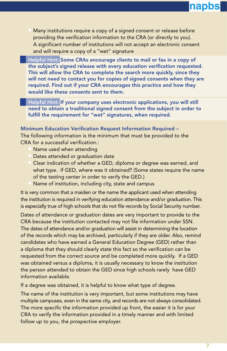### napbs

Many institutions require a copy of a signed consent or release before providing the verification information to the CRA (or directly to you). A significant number of institutions will not accept an electronic consent and will require a copy of a "wet" signature

 Helpful Hint: Some CRAs encourage clients to mail or fax in a copy of the subject's signed release with every education verification requested. This will allow the CRA to complete the search more quickly, since they will not need to contact you for copies of signed consents when they are required. Find out if your CRA encourages this practice and how they would like these consents sent to them.

Helpful Hint: If your company uses electronic applications, you will still need to obtain a traditional signed consent from the subject in order to fulfill the requirement for "wet" signatures, when required.

#### Minimum Education Verification Request Information Required –

The following information is the minimum that must be provided to the CRA for a successful verification.:

- Name used when attending
- Dates attended or graduation date
- Clear indication of whether a GED, diploma or degree was earned, and what type. If GED, where was it obtained? (Some states require the name of the testing center in order to verify the GED.)
- Name of institution, including city, state and campus

It is very common that a maiden or the name the applicant used when attending the institution is required in verifying education attendance and/or graduation. This is especially true of high schools that do not file records by Social Security number.

Dates of attendance or graduation dates are very important to provide to the CRA because the institution contacted may not file information under SSN. The dates of attendance and/or graduation will assist in determining the location of the records which may be archived, particularly if they are older. Also, remind candidates who have earned a General Education Degree (GED) rather than a diploma that they should clearly state this fact so the verification can be requested from the correct source and be completed more quickly. If a GED was obtained versus a diploma, it is usually necessary to know the institution the person attended to obtain the GED since high schools rarely have GED information available.

If a degree was obtained, it is helpful to know what type of degree.

The name of the institution is very important, but some institutions may have multiple campuses, even in the same city, and records are not always consolidated. The more specific the information provided up front, the easier it is for your CRA to verify the information provided in a timely manner and with limited follow up to you, the prospective employer.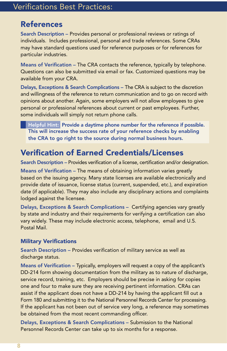#### **References**

Search Description – Provides personal or professional reviews or ratings of individuals. Includes professional, personal and trade references. Some CRAs may have standard questions used for reference purposes or for references for particular industries.

Means of Verification – The CRA contacts the reference, typically by telephone. Questions can also be submitted via email or fax. Customized questions may be available from your CRA.

Delays, Exceptions & Search Complications – The CRA is subject to the discretion and willingness of the reference to return communication and to go on record with opinions about another. Again, some employers will not allow employees to give personal or professional references about current or past employees. Further, some individuals will simply not return phone calls.

 Helpful Hint: Provide a daytime phone number for the reference if possible. This will increase the success rate of your reference checks by enabling the CRA to go right to the source during normal business hours.

#### Verification of Earned Credentials/Licenses

Search Description – Provides verification of a license, certification and/or designation.

Means of Verification – The means of obtaining information varies greatly based on the issuing agency. Many state licenses are available electronically and provide date of issuance, license status (current, suspended, etc.), and expiration date (if applicable). They may also include any disciplinary actions and complaints lodged against the licensee.

Delays, Exceptions & Search Complications – Certifying agencies vary greatly by state and industry and their requirements for verifying a certification can also vary widely. These may include electronic access, telephone, email and U.S. Postal Mail.

#### Military Verifications

Search Description – Provides verification of military service as well as discharge status.

Means of Verification – Typically, employers will request a copy of the applicant's DD-214 form showing documentation from the military as to nature of discharge, service record, training, etc. Employers should be precise in asking for copies one and four to make sure they are receiving pertinent information. CRAs can assist if the applicant does not have a DD-214 by having the applicant fill out a Form 180 and submitting it to the National Personnel Records Center for processing. If the applicant has not been out of service very long, a reference may sometimes be obtained from the most recent commanding officer.

Delays, Exceptions & Search Complications – Submission to the National Personnel Records Center can take up to six months for a response.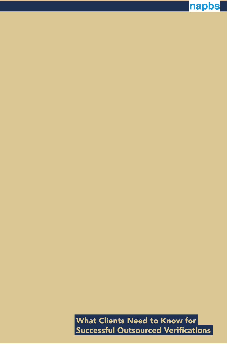What Clients Need to Know for Successful Outsourced Verifications